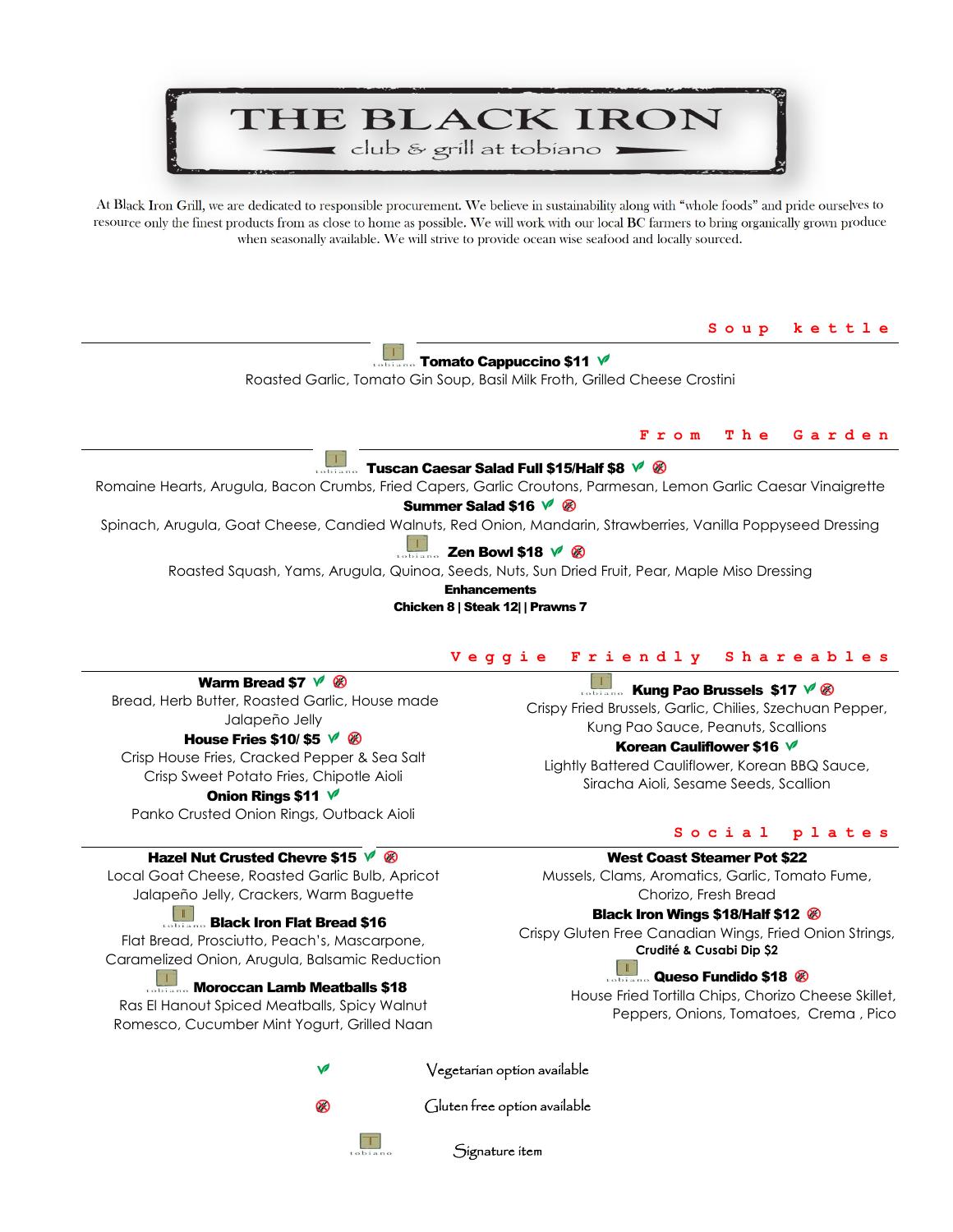# THE BLACK IRON club & grill at tobiano

At Black Iron Grill, we are dedicated to responsible procurement. We believe in sustainability along with "whole foods" and pride ourselves to resource only the finest products from as close to home as possible. We will work with our local BC farmers to bring organically grown produce when seasonally available. We will strive to provide ocean wise seafood and locally sourced.

**Soup kettle** 

Tomato Cappuccino \$11

Roasted Garlic, Tomato Gin Soup, Basil Milk Froth, Grilled Cheese Crostini

#### **From The Garden**

#### T Tuscan Caesar Salad Full \$15/Half \$8  $\sqrt{8}$

Romaine Hearts, Arugula, Bacon Crumbs, Fried Capers, Garlic Croutons, Parmesan, Lemon Garlic Caesar Vinaigrette

# Summer Salad \$16  $\sqrt{\ }$  &

Spinach, Arugula, Goat Cheese, Candied Walnuts, Red Onion, Mandarin, Strawberries, Vanilla Poppyseed Dressing

#### Zen Bowl \$18  $\sqrt{\ }$   $\otimes$

Roasted Squash, Yams, Arugula, Quinoa, Seeds, Nuts, Sun Dried Fruit, Pear, Maple Miso Dressing

**Enhancements** 

Chicken 8 | Steak 12| | Prawns 7

#### **Veggie Friendly Shareables**

### Warm Bread \$7  $\sqrt{\ }$   $\otimes$

 Bread, Herb Butter, Roasted Garlic, House made Jalapeño Jelly

#### House Fries \$10/ \$5  $\sqrt{8}$

Crisp House Fries, Cracked Pepper & Sea Salt Crisp Sweet Potato Fries, Chipotle Aioli

#### Onion Rings \$11  $\sqrt{ }$

Panko Crusted Onion Rings, Outback Aioli

#### Hazel Nut Crusted Chevre \$15  $\sqrt{8}$

Local Goat Cheese, Roasted Garlic Bulb, Apricot Jalapeño Jelly, Crackers, Warm Baguette

#### Black Iron Flat Bread \$16

Flat Bread, Prosciutto, Peach's, Mascarpone, Caramelized Onion, Arugula, Balsamic Reduction

**Moroccan Lamb Meatballs \$18** 

Ras El Hanout Spiced Meatballs, Spicy Walnut Romesco, Cucumber Mint Yogurt, Grilled Naan

## **Kung Pao Brussels \$17**  $\sqrt{8}$

Crispy Fried Brussels, Garlic, Chilies, Szechuan Pepper, Kung Pao Sauce, Peanuts, Scallions

### Korean Cauliflower \$16  $\sqrt{ }$

Lightly Battered Cauliflower, Korean BBQ Sauce, Siracha Aioli, Sesame Seeds, Scallion

#### **Social plates**

West Coast Steamer Pot \$22

Mussels, Clams, Aromatics, Garlic, Tomato Fume, Chorizo, Fresh Bread

#### Black Iron Wings \$18/Half \$12

Crispy Gluten Free Canadian Wings, Fried Onion Strings, **Crudité & Cusabi Dip \$2**

# **Queso Fundido \$18 <sup>8</sup>**

House Fried Tortilla Chips, Chorizo Cheese Skillet, Peppers, Onions, Tomatoes, Crema , Pico

Vegetarian option available



Gluten free option available



Signature item